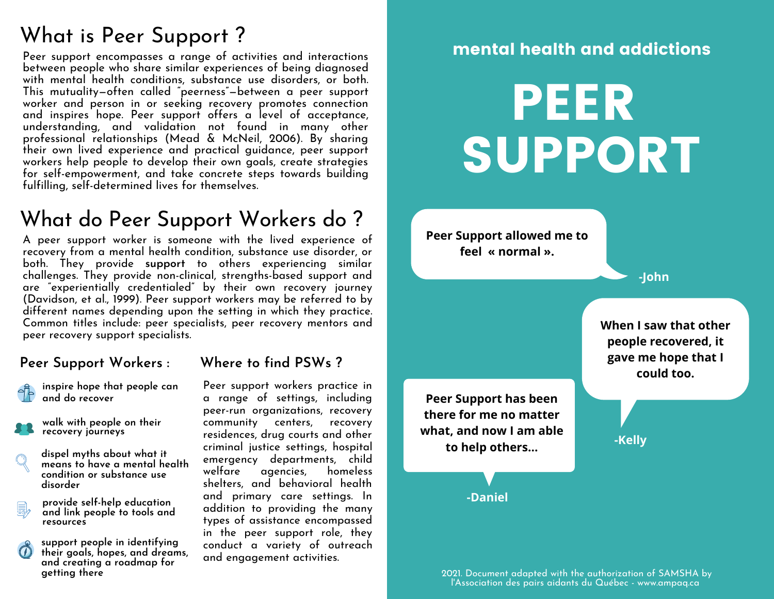# What is Peer Support ?

Peer support encompasses a range of activities and interactions between people who share similar experiences of being diagnosed with mental health conditions, substance use disorders, or both. This mutuality—often called "peerness"—between a peer support worker and person in or seeking recovery promotes connection and inspires hope. Peer support offers a level of acceptance, understanding, and validation not found in many other professional relationships (Mead & McNeil, 2006). By sharing their own lived experience and practical guidance, peer support workers help people to develop their own goals, create strategies for self-empowerment, and take concrete steps towards building fulfilling, self-determined lives for themselves.

## What do Peer Support Workers do ?

A peer support worker is someone with the lived experience of recovery from a mental health condition, substance use disorder, or both. They provide **support** to others experiencing similar challenges. They provide non-clinical, strengths-based support and are "experientially credentialed" by their own recovery journey (Davidson, et al., 1999). Peer support workers may be referred to by different names depending upon the setting in which they practice. Common titles include: peer specialists, peer recovery mentors and peer recovery support specialists.

#### **Peer Support Workers :**

**inspire hope that people can and do recover**

- **walk with people on their recovery journeys**
- **dispel myths about what it means to have a mental health condition or substance use disorder**
- **provide self-help education and link people to tools and resources**
- **support people in identifying their goals, hopes, and dreams, and creating a roadmap for getting there**

#### **Where to find PSWs ?**

Peer support workers practice in a range of settings, including peer-run organizations, recovery community centers, recovery residences, drug courts and other criminal justice settings, hospital emergency departments, child welfare agencies, homeless shelters, and behavioral health and primary care settings. In addition to providing the many types of assistance encompassed in the peer support role, they conduct a variety of outreach and engagement activities.

#### mental health and addictions

# PEER SUPPORT

**Peer Support allowed me to feel « normal ».**

**-John**

**-Kelly**

**When I saw that other people recovered, it gave me hope that I could too.**

**Peer Support has been there for me no matter what, and now I am able to help others...**

**-Daniel**

2021. Document adapted with the authorization of SAMSHA by l'Association des pairs aidants du Québec - www.ampaq.ca